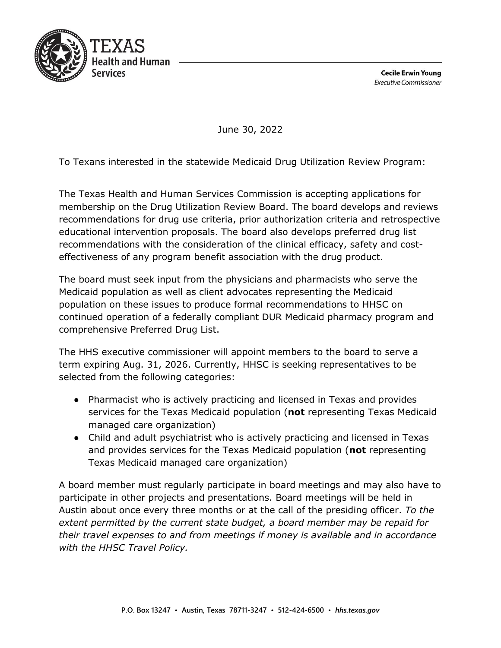

**Cecile Erwin Young Executive Commissioner** 

June 30, 2022

To Texans interested in the statewide Medicaid Drug Utilization Review Program:

The Texas Health and Human Services Commission is accepting applications for membership on the Drug Utilization Review Board. The board develops and reviews recommendations for drug use criteria, prior authorization criteria and retrospective educational intervention proposals. The board also develops preferred drug list recommendations with the consideration of the clinical efficacy, safety and costeffectiveness of any program benefit association with the drug product.

The board must seek input from the physicians and pharmacists who serve the Medicaid population as well as client advocates representing the Medicaid population on these issues to produce formal recommendations to HHSC on continued operation of a federally compliant DUR Medicaid pharmacy program and comprehensive Preferred Drug List.

The HHS executive commissioner will appoint members to the board to serve a term expiring Aug. 31, 2026. Currently, HHSC is seeking representatives to be selected from the following categories:

- Pharmacist who is actively practicing and licensed in Texas and provides services for the Texas Medicaid population (**not** representing Texas Medicaid managed care organization)
- Child and adult psychiatrist who is actively practicing and licensed in Texas and provides services for the Texas Medicaid population (**not** representing Texas Medicaid managed care organization)

A board member must regularly participate in board meetings and may also have to participate in other projects and presentations. Board meetings will be held in Austin about once every three months or at the call of the presiding officer. *To the extent permitted by the current state budget, a board member may be repaid for their travel expenses to and from meetings if money is available and in accordance with the HHSC Travel Policy.*